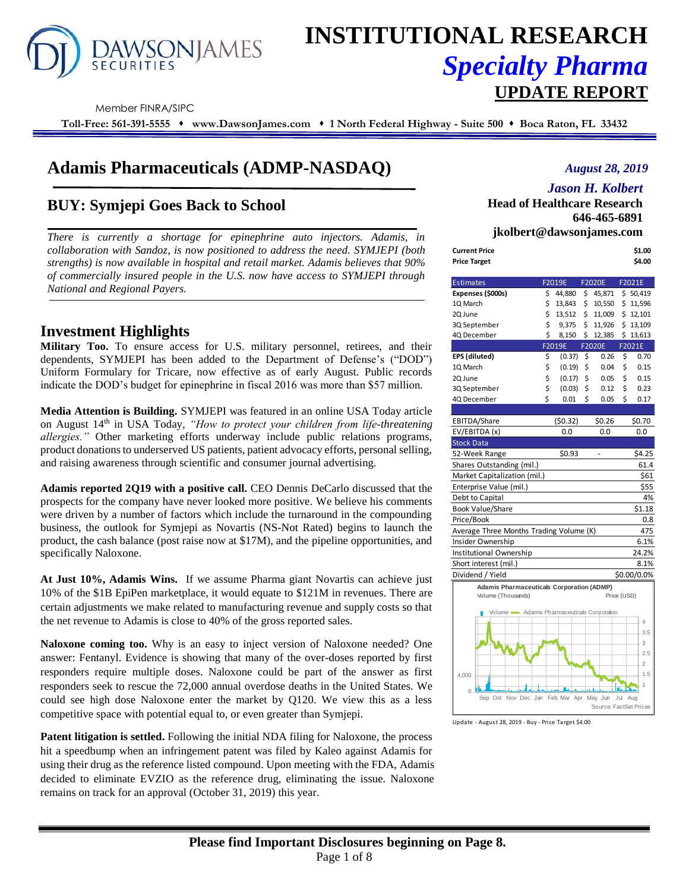

# **INSTITUTIONAL RESEARCH** *Specialty Pharma*  **UPDATE REPORT**

Member FINRA/SIPC

**Toll-Free: 561-391-5555** ⬧ **www.DawsonJames.com** ⬧ **1 North Federal Highway - Suite 500** ⬧ **Boca Raton, FL 33432**

## **Adamis Pharmaceuticals (ADMP-NASDAQ)**

### **BUY: Symjepi Goes Back to School**

*There is currently a shortage for epinephrine auto injectors. Adamis, in collaboration with Sandoz, is now positioned to address the need. SYMJEPI (both strengths) is now available in hospital and retail market. Adamis believes that 90% of commercially insured people in the U.S. now have access to SYMJEPI through National and Regional Payers.*

### **Investment Highlights**

**Military Too.** To ensure access for U.S. military personnel, retirees, and their dependents, SYMJEPI has been added to the Department of Defense's ("DOD") Uniform Formulary for Tricare, now effective as of early August. Public records indicate the DOD's budget for epinephrine in fiscal 2016 was more than \$57 million.

**Media Attention is Building.** SYMJEPI was featured in an online USA Today article on August 14th in USA Today, *"How to protect your children from life-threatening allergies."* Other marketing efforts underway include public relations programs, product donations to underserved US patients, patient advocacy efforts, personal selling, and raising awareness through scientific and consumer journal advertising.

**Adamis reported 2Q19 with a positive call.** CEO Dennis DeCarlo discussed that the prospects for the company have never looked more positive. We believe his comments were driven by a number of factors which include the turnaround in the compounding business, the outlook for Symjepi as Novartis (NS-Not Rated) begins to launch the product, the cash balance (post raise now at \$17M), and the pipeline opportunities, and specifically Naloxone.

**At Just 10%, Adamis Wins.** If we assume Pharma giant Novartis can achieve just 10% of the \$1B EpiPen marketplace, it would equate to \$121M in revenues. There are certain adjustments we make related to manufacturing revenue and supply costs so that the net revenue to Adamis is close to 40% of the gross reported sales.

**Naloxone coming too.** Why is an easy to inject version of Naloxone needed? One answer: Fentanyl. Evidence is showing that many of the over-doses reported by first responders require multiple doses. Naloxone could be part of the answer as first responders seek to rescue the 72,000 annual overdose deaths in the United States. We could see high dose Naloxone enter the market by Q120. We view this as a less competitive space with potential equal to, or even greater than Symjepi.

**Patent litigation is settled.** Following the initial NDA filing for Naloxone, the process hit a speedbump when an infringement patent was filed by Kaleo against Adamis for using their drug as the reference listed compound. Upon meeting with the FDA, Adamis decided to eliminate EVZIO as the reference drug, eliminating the issue. Naloxone remains on track for an approval (October 31, 2019) this year.

### *August 28, 2019*

### *Jason H. Kolbert*

**Head of Healthcare Research 646-465-6891 jkolbert@dawsonjames.com**

| <b>Current Price</b><br><b>Price Target</b>      |    |         |                        |             | \$1.00<br>\$4.00 |
|--------------------------------------------------|----|---------|------------------------|-------------|------------------|
|                                                  |    |         |                        |             |                  |
| <b>Estimates</b>                                 |    | F2019E  | F2020E                 |             | F2021E           |
| Expenses (\$000s)                                | \$ | 44,880  | \$<br>45,871           |             | \$50,419         |
| 1Q March                                         | \$ | 13,843  | \$<br>10,550           |             | \$11,596         |
| 2Q June                                          | \$ | 13,512  | \$11,009               |             | \$12,101         |
| 3Q September                                     | \$ | 9,375   | \$11,926               |             | \$13,109         |
| 4Q December                                      | \$ | 8,150   | \$12,385               |             | \$13,613         |
|                                                  |    | F2019E  | <b>F2020E</b>          |             | F2021E           |
| EPS (diluted)                                    | \$ | (0.37)  | \$<br>0.26             | \$          | 0.70             |
| 1Q March                                         | \$ | (0.19)  | \$<br>0.04             | \$          | 0.15             |
| 2Q June                                          | \$ | (0.17)  | \$<br>0.05             | \$          | 0.15             |
| 3Q September                                     | \$ | (0.03)  | \$<br>0.12             | \$          | 0.23             |
| 4Q December                                      | Ś  | 0.01    | \$<br>0.05             | Ś           | 0.17             |
|                                                  |    |         |                        |             |                  |
| EBITDA/Share                                     |    | (50.32) | \$0.26                 |             | \$0.70           |
| EV/EBITDA (x)                                    |    | 0.0     | 0.0                    |             | 0.0              |
| <b>Stock Data</b>                                |    |         |                        |             |                  |
| 52-Week Range                                    |    | \$0.93  |                        |             | \$4.25           |
| Shares Outstanding (mil.)                        |    |         |                        |             | 61.4             |
| Market Capitalization (mil.)                     |    |         |                        |             | \$61             |
| Enterprise Value (mil.)                          |    |         |                        |             | \$55             |
| Debt to Capital                                  |    |         |                        |             | 4%               |
| Book Value/Share                                 |    |         |                        |             | \$1.18           |
| Price/Book                                       |    |         |                        |             | 0.8              |
| Average Three Months Trading Volume (K)          |    |         |                        |             | 475              |
| Insider Ownership                                |    |         |                        |             | 6.1%             |
| Institutional Ownership                          |    |         |                        |             | 24.2%            |
| Short interest (mil.)                            |    |         |                        |             | 8.1%             |
| Dividend / Yield                                 |    |         |                        |             | \$0.00/0.0%      |
| <b>Adamis Pharmaceuticals Corporation (ADMP)</b> |    |         |                        |             |                  |
| Volume (Thousands)                               |    |         |                        | Price (USD) |                  |
| Volume - Adamis Pharmaceuticals Corporation      |    |         |                        |             |                  |
|                                                  |    |         |                        |             | 4                |
|                                                  |    |         |                        |             | 3.5              |
|                                                  |    |         |                        |             | 3                |
|                                                  |    |         |                        |             | 2.5              |
|                                                  |    |         |                        |             | $\overline{2}$   |
| 4,000                                            |    |         |                        |             | 1.5              |
| 0 ±                                              |    |         | a d                    | the Line    | 1                |
| Sep Oct<br>Nov Dec Jan Feb Mar Apr May Jun       |    |         |                        | Jul Aug     |                  |
|                                                  |    |         | Source: FactSet Prices |             |                  |

Update - August 28, 2019 - Buy - Price Target \$4.00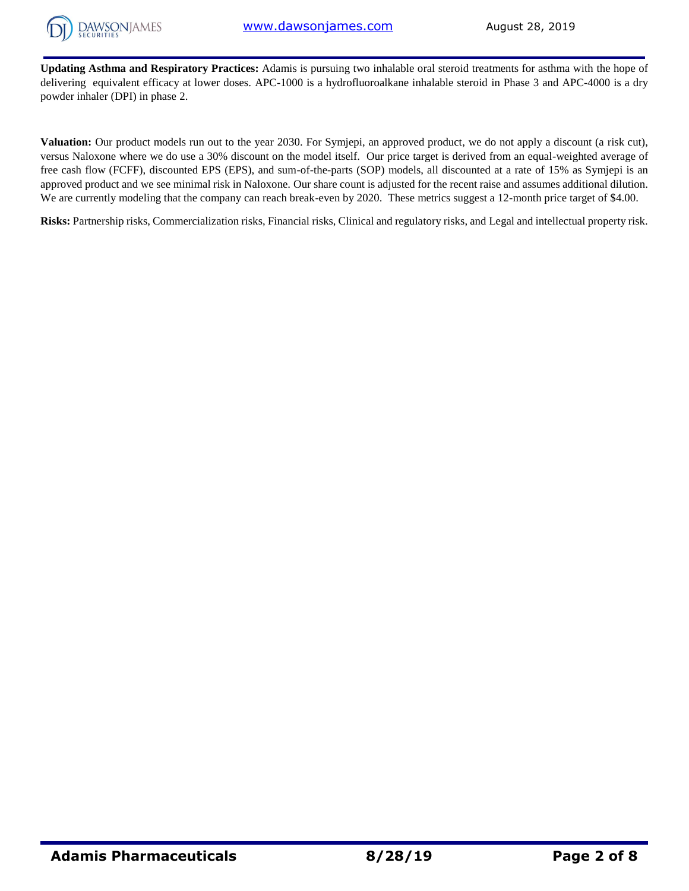

**Updating Asthma and Respiratory Practices:** Adamis is pursuing two inhalable oral steroid treatments for asthma with the hope of delivering equivalent efficacy at lower doses. APC-1000 is a hydrofluoroalkane inhalable steroid in Phase 3 and APC-4000 is a dry powder inhaler (DPI) in phase 2.

**Valuation:** Our product models run out to the year 2030. For Symjepi, an approved product, we do not apply a discount (a risk cut), versus Naloxone where we do use a 30% discount on the model itself. Our price target is derived from an equal-weighted average of free cash flow (FCFF), discounted EPS (EPS), and sum-of-the-parts (SOP) models, all discounted at a rate of 15% as Symjepi is an approved product and we see minimal risk in Naloxone. Our share count is adjusted for the recent raise and assumes additional dilution. We are currently modeling that the company can reach break-even by 2020. These metrics suggest a 12-month price target of \$4.00.

**Risks:** Partnership risks, Commercialization risks, Financial risks, Clinical and regulatory risks, and Legal and intellectual property risk.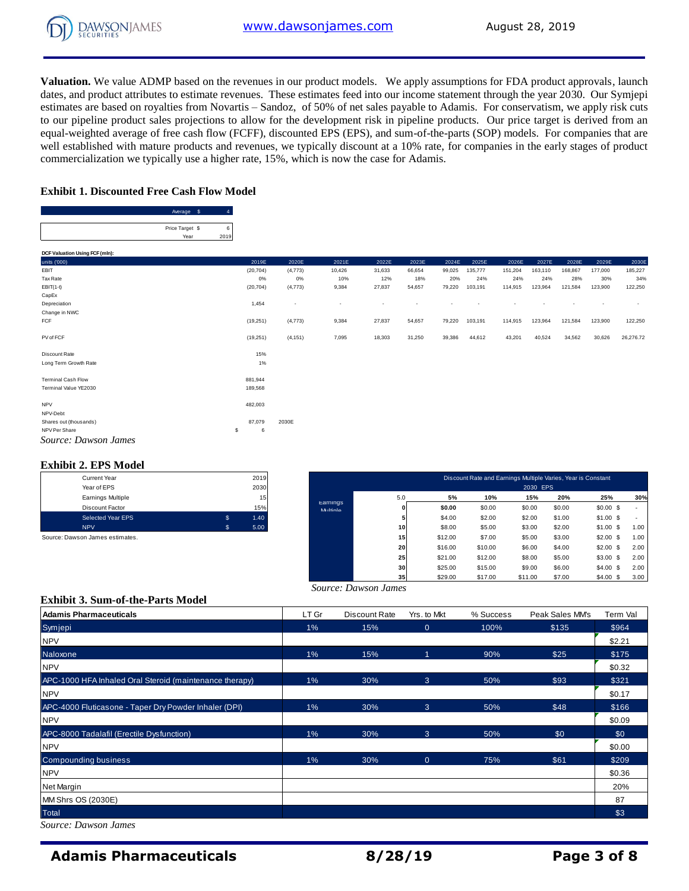**Valuation.** We value ADMP based on the revenues in our product models. We apply assumptions for FDA product approvals, launch dates, and product attributes to estimate revenues. These estimates feed into our income statement through the year 2030. Our Symjepi estimates are based on royalties from Novartis – Sandoz, of 50% of net sales payable to Adamis. For conservatism, we apply risk cuts to our pipeline product sales projections to allow for the development risk in pipeline products. Our price target is derived from an equal-weighted average of free cash flow (FCFF), discounted EPS (EPS), and sum-of-the-parts (SOP) models. For companies that are well established with mature products and revenues, we typically discount at a 10% rate, for companies in the early stages of product commercialization we typically use a higher rate, 15%, which is now the case for Adamis.

### **Exhibit 1. Discounted Free Cash Flow Model**

Average \$4

| Price Target \$ | 6    |           |                                               |        |        |        |        |         |         |         |         |         |           |
|-----------------|------|-----------|-----------------------------------------------|--------|--------|--------|--------|---------|---------|---------|---------|---------|-----------|
| Year            | 2019 |           |                                               |        |        |        |        |         |         |         |         |         |           |
|                 |      |           |                                               |        |        |        |        |         |         |         |         |         |           |
|                 |      | 2019E     | 2020E                                         | 2021E  | 2022E  | 2023E  | 2024E  | 2025E   | 2026E   | 2027E   | 2028E   | 2029E   | 2030E     |
|                 |      | (20, 704) | (4, 773)                                      | 10,426 | 31,633 | 66,654 | 99,025 | 135,777 | 151,204 | 163,110 | 168,867 | 177,000 | 185,227   |
|                 |      | 0%        | 0%                                            | 10%    | 12%    | 18%    | 20%    | 24%     | 24%     | 24%     | 28%     | 30%     | 34%       |
|                 |      | (20, 704) | (4, 773)                                      | 9,384  | 27,837 | 54,657 | 79,220 | 103,191 | 114,915 | 123,964 | 121,584 | 123,900 | 122,250   |
|                 |      |           |                                               |        |        |        |        |         |         |         |         |         |           |
|                 |      | 1,454     |                                               | ٠      |        |        |        |         |         |         |         |         |           |
|                 |      |           |                                               |        |        |        |        |         |         |         |         |         |           |
|                 |      | (19,251)  | (4,773)                                       | 9,384  | 27,837 | 54,657 | 79,220 | 103,191 | 114,915 | 123,964 | 121,584 | 123,900 | 122,250   |
|                 |      |           |                                               |        |        |        |        |         |         |         |         |         |           |
|                 |      | (19,251)  | (4, 151)                                      | 7,095  | 18,303 | 31,250 | 39,386 | 44,612  | 43,201  | 40,524  | 34,562  | 30,626  | 26,276.72 |
|                 |      |           |                                               |        |        |        |        |         |         |         |         |         |           |
|                 |      |           |                                               |        |        |        |        |         |         |         |         |         |           |
|                 |      |           |                                               |        |        |        |        |         |         |         |         |         |           |
|                 |      |           |                                               |        |        |        |        |         |         |         |         |         |           |
|                 |      |           |                                               |        |        |        |        |         |         |         |         |         |           |
|                 |      |           |                                               |        |        |        |        |         |         |         |         |         |           |
|                 |      |           |                                               |        |        |        |        |         |         |         |         |         |           |
|                 |      |           |                                               |        |        |        |        |         |         |         |         |         |           |
|                 |      | 87,079    | 2030E                                         |        |        |        |        |         |         |         |         |         |           |
|                 | s    | 6         |                                               |        |        |        |        |         |         |         |         |         |           |
|                 |      |           |                                               |        |        |        |        |         |         |         |         |         |           |
|                 |      |           | 15%<br>$1\%$<br>881,944<br>189,568<br>482,003 |        |        |        |        |         |         |         |         |         |           |

### **Exhibit 2. EPS Model**

| <b>Current Year</b> |   | 2019 |
|---------------------|---|------|
| Year of EPS         |   | 2030 |
| Earnings Multiple   |   | 15   |
| Discount Factor     |   | 15%  |
| Selected Year EPS   | S | 1.40 |
| <b>NPV</b>          | S | 5.00 |

| <b>Current Year</b>             |              | 2019 |                      |                 |         | Discount Rate and Earnings Multiple Varies, Year is Constant |          |        |            |      |
|---------------------------------|--------------|------|----------------------|-----------------|---------|--------------------------------------------------------------|----------|--------|------------|------|
| Year of EPS                     |              | 2030 |                      |                 |         |                                                              | 2030 EPS |        |            |      |
| Earnings Multiple               |              | 15   |                      | 5.0             | 5%      | 10%                                                          | 15%      | 20%    | 25%        | 30%  |
| Discount Factor                 |              | 15%  | Earnings<br>Multinle |                 | \$0.00  | \$0.00                                                       | \$0.00   | \$0.00 | $$0.00$ \$ |      |
| Selected Year EPS               | $\mathbf{s}$ | 1.40 |                      |                 | \$4.00  | \$2.00                                                       | \$2.00   | \$1.00 | \$1.00\$   |      |
| <b>NPV</b>                      | \$           | 5.00 |                      | 10              | \$8.00  | \$5.00                                                       | \$3.00   | \$2.00 | \$1.00\$   | 1.00 |
| Source: Dawson James estimates. |              |      |                      | 15              | \$12.00 | \$7.00                                                       | \$5.00   | \$3.00 | \$2.00\$   | 1.00 |
|                                 |              |      |                      | 20              | \$16.00 | \$10.00                                                      | \$6.00   | \$4.00 | \$2.00\$   | 2.00 |
|                                 |              |      |                      | 25              | \$21.00 | \$12.00                                                      | \$8.00   | \$5.00 | $$3.00$ \$ | 2.00 |
|                                 |              |      |                      | 30              | \$25.00 | \$15.00                                                      | \$9.00   | \$6.00 | \$4.00\$   | 2.00 |
|                                 |              |      |                      | 35 <sup>1</sup> | \$29.00 | \$17.00                                                      | \$11.00  | \$7.00 | $$4.00$ \$ | 3.00 |

|  | Exhibit 3. Sum-of-the-Parts Model |  |
|--|-----------------------------------|--|

|                                                         |       |                      | 35<br>\$29.00  | \$17.00   | \$7.00<br>\$11.00 | \$4.00\$<br>3.00 |
|---------------------------------------------------------|-------|----------------------|----------------|-----------|-------------------|------------------|
|                                                         |       | Source: Dawson James |                |           |                   |                  |
| <b>Exhibit 3. Sum-of-the-Parts Model</b>                |       |                      |                |           |                   |                  |
| <b>Adamis Pharmaceuticals</b>                           | LT Gr | Discount Rate        | Yrs. to Mkt    | % Success | Peak Sales MM's   | Term Val         |
| Symjepi                                                 | 1%    | 15%                  | $\overline{0}$ | 100%      | \$135             | \$964            |
| <b>NPV</b>                                              |       |                      |                |           |                   | \$2.21           |
| Naloxone                                                | 1%    | 15%                  |                | 90%       | \$25              | \$175            |
| <b>NPV</b>                                              |       |                      |                |           |                   | \$0.32           |
| APC-1000 HFA Inhaled Oral Steroid (maintenance therapy) | 1%    | 30%                  | 3              | 50%       | \$93              | \$321            |
| <b>NPV</b>                                              |       |                      |                |           |                   | \$0.17           |
| APC-4000 Fluticasone - Taper Dry Powder Inhaler (DPI)   | 1%    | 30%                  | 3              | 50%       | \$48              | \$166            |
| <b>NPV</b>                                              |       |                      |                |           |                   | \$0.09           |
| APC-8000 Tadalafil (Erectile Dysfunction)               | 1%    | 30%                  | 3              | 50%       | \$0               | \$0              |
| <b>NPV</b>                                              |       |                      |                |           |                   | \$0.00           |
| <b>Compounding business</b>                             | 1%    | 30%                  | $\overline{0}$ | 75%       | \$61              | \$209            |
| <b>NPV</b>                                              |       |                      |                |           |                   | \$0.36           |
| Net Margin                                              |       |                      |                |           |                   | 20%              |
| MM Shrs OS (2030E)                                      |       |                      |                |           |                   | 87               |
| Total                                                   |       |                      |                |           |                   | \$3              |
| Source: Dawson James                                    |       |                      |                |           |                   |                  |

*Source: Dawson James*

### **Adamis Pharmaceuticals 8/28/19 Page 3 of 8**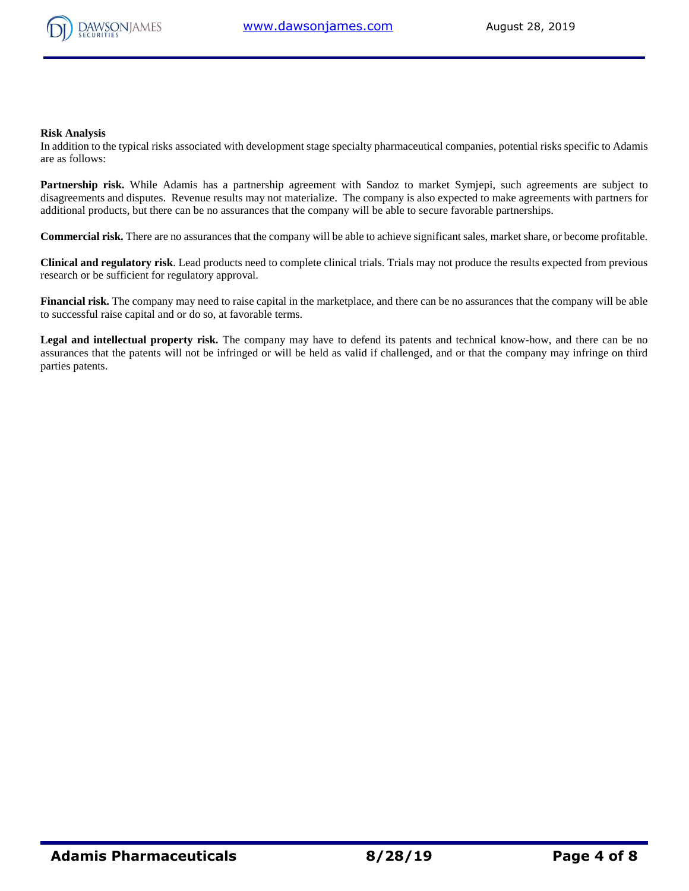

#### **Risk Analysis**

In addition to the typical risks associated with development stage specialty pharmaceutical companies, potential risks specific to Adamis are as follows:

Partnership risk. While Adamis has a partnership agreement with Sandoz to market Symjepi, such agreements are subject to disagreements and disputes. Revenue results may not materialize. The company is also expected to make agreements with partners for additional products, but there can be no assurances that the company will be able to secure favorable partnerships.

**Commercial risk.** There are no assurances that the company will be able to achieve significant sales, market share, or become profitable.

**Clinical and regulatory risk**. Lead products need to complete clinical trials. Trials may not produce the results expected from previous research or be sufficient for regulatory approval.

**Financial risk.** The company may need to raise capital in the marketplace, and there can be no assurances that the company will be able to successful raise capital and or do so, at favorable terms.

**Legal and intellectual property risk.** The company may have to defend its patents and technical know-how, and there can be no assurances that the patents will not be infringed or will be held as valid if challenged, and or that the company may infringe on third parties patents.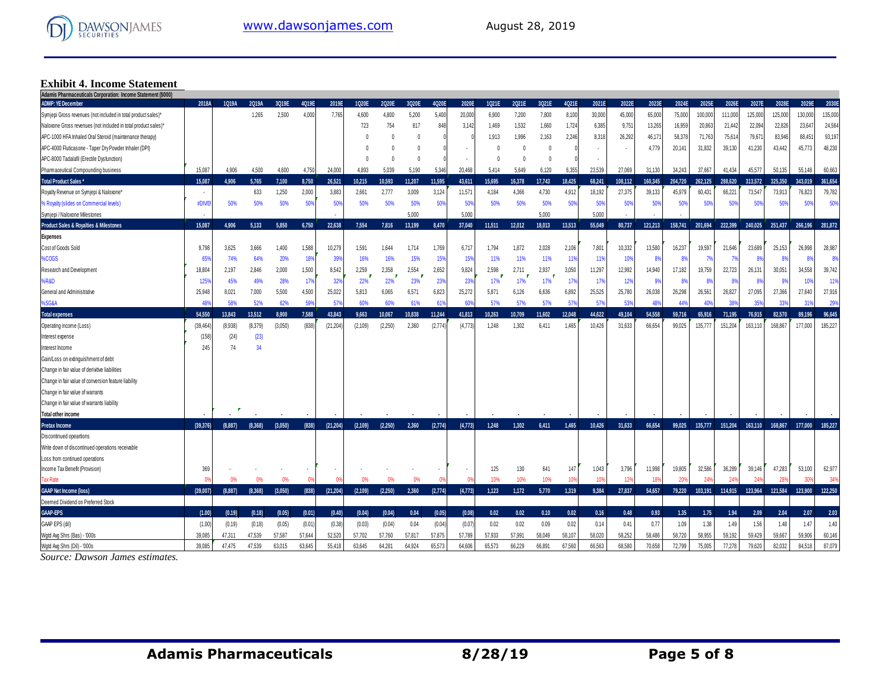

# **Exhibit 4. Income Statement Adamis Pharmaceuticals Corporation: Income Statement (\$000)**

| $\overline{\text{m}}$ riamized that you por about models statement (3000) |          |         |                |                |                |                |                |                |                |                |                 |                     |                     |                   |                |                 |                 |                 |         |                  |                  |                  |                  |                  |                  |
|---------------------------------------------------------------------------|----------|---------|----------------|----------------|----------------|----------------|----------------|----------------|----------------|----------------|-----------------|---------------------|---------------------|-------------------|----------------|-----------------|-----------------|-----------------|---------|------------------|------------------|------------------|------------------|------------------|------------------|
| <b>ADMP: YE December</b>                                                  | 2018A    | 1Q19A   | 2Q19A<br>1.265 | 3Q19E<br>2.500 | 4Q19E<br>4.000 | 2019E<br>7.765 | 1020E<br>4.600 | 2020E<br>4.800 | 3020E<br>5.200 | 4Q20E<br>5.400 | 2020E<br>20,000 | 1Q21E<br>6.900      | 2021E               | 3021E             | 4Q21E<br>8,100 | 2021E<br>30,000 | 2022E<br>45,000 | 2023E<br>65,000 | 2024E   | 2025E<br>100,000 | 2026E<br>111,000 | 2027E<br>125,000 | 2028E<br>125,000 | 2029E<br>130,000 | 2030E<br>135,000 |
| Symjepi Gross revenues (not included in total product sales)*             |          |         |                |                |                |                |                |                |                |                |                 |                     | 7,200               | 7,800             |                |                 |                 |                 | 75,000  |                  |                  |                  |                  |                  |                  |
| Naloxone Gross revenues (not included in total product sales)*            |          |         |                |                |                |                | 723            | 754            | 817            | 848            | 3,142           | 1,469               | 1,532               | 1,660             | 1,724          | 6,385           | 9,751           | 13,265          | 16,959  | 20,863           | 21,442           | 22,094           | 22,826           | 23,647           | 24,564           |
| APC-1000 HFA Inhaled Oral Steroid (maintenance therapy)                   |          |         |                |                |                |                | $\mathbf{0}$   |                | $\theta$       |                |                 | 1,913<br>$\sqrt{ }$ | 1.996<br>$\sqrt{ }$ | 2.163<br>$\theta$ | 2.246          | 8.318           | 26,292          | 46.171<br>4.779 | 58,378  | 71.763           | 75,614           | 79,67            | 83,946           | 88,451           | 93,197           |
| APC-4000 Fluticasone - Taper Dry Powder Inhaler (DPI)                     |          |         |                |                |                |                |                |                | $\Omega$       |                |                 |                     |                     |                   |                |                 |                 |                 | 20,141  | 31,832           | 39,130           | 41,230           | 43,442           | 45,773           | 48,230           |
| APC-8000 Tadalafil (Erectile Dysfunction)                                 |          |         |                |                |                |                |                |                | ſ              |                |                 | $\theta$            |                     | $\sqrt{ }$        |                |                 |                 |                 |         |                  |                  |                  |                  |                  |                  |
| Pharmaceutical Compounding business                                       | 15,087   | 4.906   | 4.500          | 4.600          | 4.750          | 24,000         | 4.893          | 5.039          | 5,190          | 5.346          | 20.468          | 5,414               | 5.649               | 6,120             | 6.355          | 23,539          | 27,069          | 31,130          | 34.243  | 37,667           | 41.434           | 45.577           | 50.135           | 55.148           | 60,663           |
| <b>Total Product Sales *</b>                                              | 15,087   | 4.906   | 5,765          | 7.100          | 8.750          | 26,521         | 10,215         | 10.593         | 11.207         | 11.595         | 43,611          | 15.695              | 16,378              | 17,743            | 18,425         | 68,241          | 108,112         | 160,345         | 204,720 | 262,125          | 288,620          | 313,572          | 325.350          | 343,019          | 361,654          |
| Royalty Revenue on Symjepi & Naloxone*                                    |          |         | 633            | 1,250          | 2,000          | 3,883          | 2,661          | 2,777          | 3,009          | 3.124          | 11,571          | 4.184               | 4,366               | 4.730             | 4.912          | 18,192          | 27,375          | 39.133          | 45,979  | 60,431           | 66,221           | 73,547           | 73.913           | 76,823           | 79,782           |
| % Royalty (slides on Commercial levels                                    | #DIV/0   | 50%     | 50%            | 50%            | 50%            | 50%            | 50%            | 50%            | 50%            | 50%            | 50%             | 50%                 | 50%                 | 50%               | 50%            | 50%             | 50%             | 50%             | 50%     | 50%              | 50%              | 50%              | 50%              | 50%              | 50%              |
| Symjepi / Naloxone Milestones                                             |          |         |                |                |                |                |                |                | 5,000          |                | 5,000           |                     |                     | 5.000             |                | 5.000           |                 |                 |         |                  |                  |                  |                  |                  |                  |
| Product Sales & Royalties & Milestones                                    | 15.087   | 4.906   | 5,133          | 5.850          | 6.750          | 22.638         | 7.554          | 7,816          | 13,199         | 8,470          | 37.040          | 11,511              | 12.012              | 18.013            | 13.513         | 55.049          | 80,737          | 121,213         | 158,741 | 201.694          | 222.399          | 240.025          | 251.437          | 266,196          | 281,872          |
| <b>Expenses</b>                                                           |          |         |                |                |                |                |                |                |                |                |                 |                     |                     |                   |                |                 |                 |                 |         |                  |                  |                  |                  |                  |                  |
| Cost of Goods Sold                                                        | 9,798    | 3,625   | 3,666          | 1,400          | 1,588          | 10,279         | 1,591          | 1.644          | 1,714          | 1.769          | 6,717           | 1.794               | 1.872               | 2,028             | 2,106          | 7,801           | 10,332          | 13,580          | 16,237  | 19,597           | 21,646           | 23,689           | 25,153           | 26,998           | 28,987           |
| %COGS                                                                     | 65%      | 74%     | 64%            | 20%            | 18%            | 39%            | 16%            | 16%            | 15%            | 15%            | 15%             | 11%                 | 11%                 | 11%               | 11%            | 11%             | 10%             | 8%              | -8%     | - 7%             | 7%               | -89              | 8%               | 8%               | 8%               |
| Research and Development                                                  | 18,804   | 2,197   | 2,846          | 2,000          | 1,500          | 8,542          | 2,259<br>F     | 2,358          | 2,554          | 2,652          | 9,824           | 2,598               | 2,711               | 2,937             | 3,050          | 11,297          | 12,992          | 14,940          | 17,182  | 19,759           | 22,723           | 26,131           | 30,051           | 34,558           | 39,742           |
| %R&D                                                                      | 1259     | 45%     | 49%            | 28%            | 179            | 329            | 22%            | 22%            | 23%            | 23%            | 23%             | 17%                 | 17%                 | 17%               | 17%            | 179             | 12%             | 9%              | 8%      | 89               | 89               | 89               | <b>g</b>         | 10%              | 11%              |
| General and Administrative                                                | 25.948   | 8,021   | 7,000          | 5,500          | 4,500          | 25,022         | 5,813          | 6,065          | 6,571          | 6,823          | 25,272          | 5,871               | 6,126               | 6,636             | 6,892          | 25,525          | 25.780          | 26.038          | 26,298  | 26,561           | 26,827           | 27.095           | 27,366           | 27,640           | 27,916           |
| %SG&A                                                                     | 48%      | 58%     | 52%            | 62%            | 599            | 579            | 60%            | 60%            | 61%            | 61%            | 60              | 57%                 | 57%                 | 57%               | 57%            | 57 <sup>°</sup> | 539             | 48%             |         | 40               | 389              | 35%              | 339              | 319              | 29%              |
| <b>Total expenses</b>                                                     | 54.550   | 13,843  | 13,512         | 8.900          | 7.588          | 43.843         | 9.663          | 10.067         | 10,838         | 11.244         | 41.813          | 10.263              | 10.709              | 11.602            | 12.048         | 44.622          | 49.104          | 54.558          | 59.716  | 65,916           | 71.195           | 76.915           | 82.570           | 89,196           | 96,645           |
| Operating income (Loss)                                                   | (39.464) | (8.938) | (8,379)        | (3.050)        | (838)          | (21, 204)      | (2, 109)       | (2.250)        | 2.360          | (2.774)        | (4.773)         | 1.248               | 1.302               | 6.411             | 1.465          | 10.426          | 31.633          | 66.654          | 99.025  | 135.77           | 151.204          | 163.110          | 168.867          | 177,000          | 185,227          |
| Interest expense                                                          | (158)    | (24)    | (23)           |                |                |                |                |                |                |                |                 |                     |                     |                   |                |                 |                 |                 |         |                  |                  |                  |                  |                  |                  |
| Interest Income                                                           | 245      | 74      | 34             |                |                |                |                |                |                |                |                 |                     |                     |                   |                |                 |                 |                 |         |                  |                  |                  |                  |                  |                  |
| Gain/Loss on extinguishment of debt                                       |          |         |                |                |                |                |                |                |                |                |                 |                     |                     |                   |                |                 |                 |                 |         |                  |                  |                  |                  |                  |                  |
| Change in fair value of derivitive liabilities                            |          |         |                |                |                |                |                |                |                |                |                 |                     |                     |                   |                |                 |                 |                 |         |                  |                  |                  |                  |                  |                  |
| Change in fair value of conversion feature liability                      |          |         |                |                |                |                |                |                |                |                |                 |                     |                     |                   |                |                 |                 |                 |         |                  |                  |                  |                  |                  |                  |
| Change in fair value of warrants                                          |          |         |                |                |                |                |                |                |                |                |                 |                     |                     |                   |                |                 |                 |                 |         |                  |                  |                  |                  |                  |                  |
| Change in fair value of warrants liability                                |          |         |                |                |                |                |                |                |                |                |                 |                     |                     |                   |                |                 |                 |                 |         |                  |                  |                  |                  |                  |                  |
| Total other income                                                        |          |         |                |                |                |                |                |                |                |                |                 |                     |                     |                   |                |                 |                 |                 |         |                  |                  |                  |                  |                  |                  |
| <b>Pretax Income</b>                                                      | (39.376) | (8.887) | (8.368)        | (3.050)        | (838)          | (21, 204)      | (2,109)        | (2.250)        | 2.360          | (2.774)        | (4, 773)        | 1,248               | 1.302               | 6.411             | 1.465          | 10.426          | 31.633          | 66.654          | 99.025  | 135,777          | 151,204          | 163.110          | 168,867          | 177.000          | 185,227          |
| Discontinued opeartions                                                   |          |         |                |                |                |                |                |                |                |                |                 |                     |                     |                   |                |                 |                 |                 |         |                  |                  |                  |                  |                  |                  |
| Write down of discontinued operations receivable                          |          |         |                |                |                |                |                |                |                |                |                 |                     |                     |                   |                |                 |                 |                 |         |                  |                  |                  |                  |                  |                  |
| Loss from continued operations                                            |          |         |                |                |                |                |                |                |                |                |                 |                     |                     |                   |                |                 |                 |                 |         |                  |                  |                  |                  |                  |                  |
| Income Tax Benefit (Provision)                                            | 369      |         |                |                |                |                |                |                |                |                |                 | 125                 | 130                 | 641               | 147            | 1,043           | 3,796           | 11,998          | 19,805  | 32,586           | 36,289           | 39,146           | 47,283           | 53,100           | 62,977           |
| <b>Tax Rate</b>                                                           | 0%       | 0%      | 0%             | 0%             | $\Omega$       | n              | 0%             | 0%             | 0%             | 0%             | 0%              | 10%                 | 10%                 | 10%               | 10%            | 10%             | 12%             | 18%             | 20%     | 249              | 24%              | 249              | 28%              | 30%              | 34%              |
| <b>GAAP Net Income (loss)</b>                                             | (39.007) | (8.887) | (8.368)        | (3,050)        | (838)          | (21, 204)      | (2,109)        | (2,250)        | 2,360          | (2,774)        | (4, 773)        | 1,123               | 1.172               | 5,770             | 1,319          | 9.384           | 27,837          | 54.657          | 79,220  | 103.191          | 114.915          | 123,964          | 121.584          | 123,900          | 122,250          |
| Deemed Dividend on Preferred Stock                                        |          |         |                |                |                |                |                |                |                |                |                 |                     |                     |                   |                |                 |                 |                 |         |                  |                  |                  |                  |                  |                  |
| <b>GAAP-EPS</b>                                                           | (1.00)   | (0.19)  | (0.18)         | (0.05)         | (0.01)         | (0.40)         | (0.04)         | (0.04)         | 0.04           | (0.05)         | (0.08)          | 0.02                | 0.02                | 0.10              | 0.02           | 0.16            | 0.48            | 0.93            | 1.35    | 1.75             | 1.94             | 2.09             | 2.04             | 2.07             | 2.03             |
| GAAP EPS (dil)                                                            | (1.00)   | (0.19)  | (0.18)         | (0.05)         | (0.01)         | (0.38)         | (0.03)         | (0.04)         | 0.04           | (0.04)         | (0.07)          | 0.02                | 0.02                | 0.09              | 0.02           | 0.14            | 0.41            | 0.77            | 1.09    | 1.38             | 1.49             | 1.56             | 1.48             | 1.47             | 1.40             |
| Wgtd Avg Shrs (Bas) - '000s                                               | 39.085   | 47.311  | 47.539         | 57.587         | 57.644         | 52.520         | 57.702         | 57.760         | 57.817         | 57.875         | 57.789          | 57,933              | 57.991              | 58,049            | 58.107         | 58.020          | 58.252          | 58.486          | 58.720  | 58,955           | 59.192           | 59.429           | 59.667           | 59,906           | 60,146           |
| Wgtd Avg Shrs (Dil) - '000s                                               | 39,085   | 47.475  | 47,539         | 63,015         | 63,645         | 55,418         | 63,645         | 64,281         | 64,924         | 65,573         | 64,606          | 65,573              | 66,229              | 66,891            | 67,560         | 66,563          | 68,580          | 70,658          | 72,799  | 75,005           | 77,278           | 79,620           | 82,032           | 84,518           | 87,079           |

*Source: Dawson James estimates.*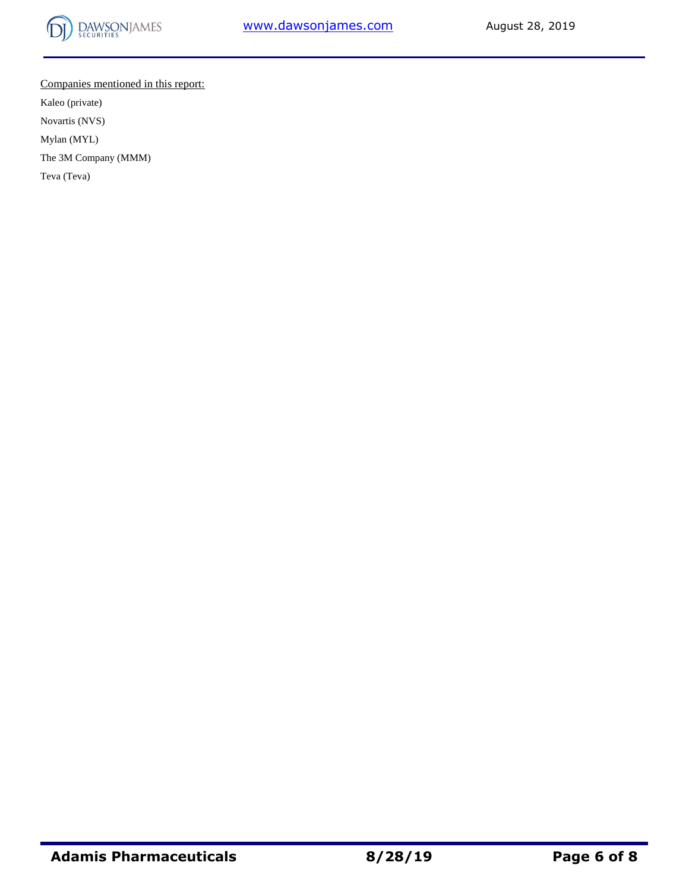

Companies mentioned in this report: Kaleo (private) Novartis (NVS) Mylan (MYL) The 3M Company (MMM)

Teva (Teva)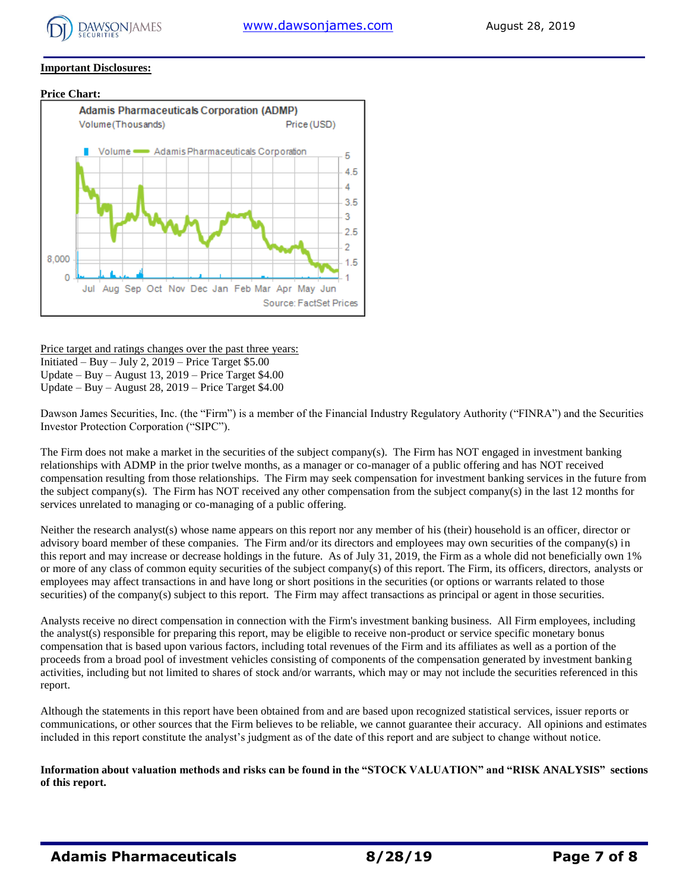

#### **Important Disclosures:**

#### **Price Chart:**



Price target and ratings changes over the past three years: Initiated – Buy – July 2,  $2019$  – Price Target \$5.00 Update – Buy – August 13, 2019 – Price Target \$4.00 Update – Buy – August 28, 2019 – Price Target \$4.00

Dawson James Securities, Inc. (the "Firm") is a member of the Financial Industry Regulatory Authority ("FINRA") and the Securities Investor Protection Corporation ("SIPC").

The Firm does not make a market in the securities of the subject company(s). The Firm has NOT engaged in investment banking relationships with ADMP in the prior twelve months, as a manager or co-manager of a public offering and has NOT received compensation resulting from those relationships. The Firm may seek compensation for investment banking services in the future from the subject company(s). The Firm has NOT received any other compensation from the subject company(s) in the last 12 months for services unrelated to managing or co-managing of a public offering.

Neither the research analyst(s) whose name appears on this report nor any member of his (their) household is an officer, director or advisory board member of these companies. The Firm and/or its directors and employees may own securities of the company(s) in this report and may increase or decrease holdings in the future. As of July 31, 2019, the Firm as a whole did not beneficially own 1% or more of any class of common equity securities of the subject company(s) of this report. The Firm, its officers, directors, analysts or employees may affect transactions in and have long or short positions in the securities (or options or warrants related to those securities) of the company(s) subject to this report. The Firm may affect transactions as principal or agent in those securities.

Analysts receive no direct compensation in connection with the Firm's investment banking business. All Firm employees, including the analyst(s) responsible for preparing this report, may be eligible to receive non-product or service specific monetary bonus compensation that is based upon various factors, including total revenues of the Firm and its affiliates as well as a portion of the proceeds from a broad pool of investment vehicles consisting of components of the compensation generated by investment banking activities, including but not limited to shares of stock and/or warrants, which may or may not include the securities referenced in this report.

Although the statements in this report have been obtained from and are based upon recognized statistical services, issuer reports or communications, or other sources that the Firm believes to be reliable, we cannot guarantee their accuracy. All opinions and estimates included in this report constitute the analyst's judgment as of the date of this report and are subject to change without notice.

**Information about valuation methods and risks can be found in the "STOCK VALUATION" and "RISK ANALYSIS" sections of this report.**